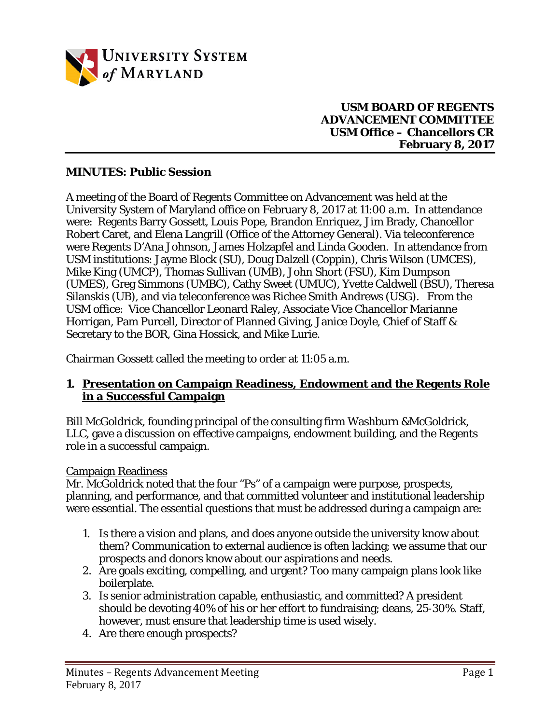

### **USM BOARD OF REGENTS ADVANCEMENT COMMITTEE USM Office – Chancellors CR February 8, 2017**

## **MINUTES: Public Session**

A meeting of the Board of Regents Committee on Advancement was held at the University System of Maryland office on February 8, 2017 at 11:00 a.m. In attendance were: Regents Barry Gossett, Louis Pope, Brandon Enriquez, Jim Brady, Chancellor Robert Caret, and Elena Langrill (Office of the Attorney General). Via teleconference were Regents D'Ana Johnson, James Holzapfel and Linda Gooden. In attendance from USM institutions: Jayme Block (SU), Doug Dalzell (Coppin), Chris Wilson (UMCES), Mike King (UMCP), Thomas Sullivan (UMB), John Short (FSU), Kim Dumpson (UMES), Greg Simmons (UMBC), Cathy Sweet (UMUC), Yvette Caldwell (BSU), Theresa Silanskis (UB), and via teleconference was Richee Smith Andrews (USG). From the USM office: Vice Chancellor Leonard Raley, Associate Vice Chancellor Marianne Horrigan, Pam Purcell, Director of Planned Giving, Janice Doyle, Chief of Staff & Secretary to the BOR, Gina Hossick, and Mike Lurie.

Chairman Gossett called the meeting to order at 11:05 a.m.

## **1. Presentation on Campaign Readiness, Endowment and the Regents Role in a Successful Campaign**

Bill McGoldrick, founding principal of the consulting firm Washburn &McGoldrick, LLC, gave a discussion on effective campaigns, endowment building, and the Regents role in a successful campaign.

#### Campaign Readiness

Mr. McGoldrick noted that the four "Ps" of a campaign were purpose, prospects, planning, and performance, and that committed volunteer and institutional leadership were essential. The essential questions that must be addressed during a campaign are:

- 1. Is there a vision and plans, and does anyone outside the university know about them? Communication to external audience is often lacking; we assume that our prospects and donors know about our aspirations and needs.
- 2. Are goals exciting, compelling, and urgent? Too many campaign plans look like boilerplate.
- 3. Is senior administration capable, enthusiastic, and committed? A president should be devoting 40% of his or her effort to fundraising; deans, 25-30%. Staff, however, must ensure that leadership time is used wisely.
- 4. Are there enough prospects?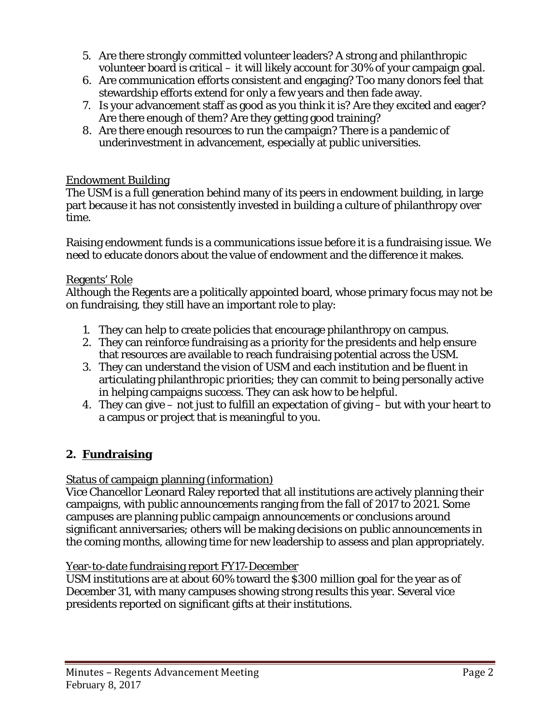- 5. Are there strongly committed volunteer leaders? A strong and philanthropic volunteer board is critical – it will likely account for 30% of your campaign goal.
- 6. Are communication efforts consistent and engaging? Too many donors feel that stewardship efforts extend for only a few years and then fade away.
- 7. Is your advancement staff as good as you think it is? Are they excited and eager? Are there enough of them? Are they getting good training?
- 8. Are there enough resources to run the campaign? There is a pandemic of underinvestment in advancement, especially at public universities.

# Endowment Building

The USM is a full generation behind many of its peers in endowment building, in large part because it has not consistently invested in building a culture of philanthropy over time.

Raising endowment funds is a communications issue before it is a fundraising issue. We need to educate donors about the value of endowment and the difference it makes.

## Regents' Role

Although the Regents are a politically appointed board, whose primary focus may not be on fundraising, they still have an important role to play:

- 1. They can help to create policies that encourage philanthropy on campus.
- 2. They can reinforce fundraising as a priority for the presidents and help ensure that resources are available to reach fundraising potential across the USM.
- 3. They can understand the vision of USM and each institution and be fluent in articulating philanthropic priorities; they can commit to being personally active in helping campaigns success. They can ask how to be helpful.
- 4. They can give not just to fulfill an expectation of giving but with your heart to a campus or project that is meaningful to you.

# **2. Fundraising**

# Status of campaign planning (information)

Vice Chancellor Leonard Raley reported that all institutions are actively planning their campaigns, with public announcements ranging from the fall of 2017 to 2021. Some campuses are planning public campaign announcements or conclusions around significant anniversaries; others will be making decisions on public announcements in the coming months, allowing time for new leadership to assess and plan appropriately.

#### Year-to-date fundraising report FY17-December

USM institutions are at about 60% toward the \$300 million goal for the year as of December 31, with many campuses showing strong results this year. Several vice presidents reported on significant gifts at their institutions.